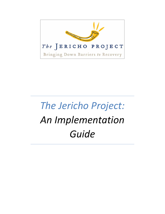

# *The Jericho Project: An Implementation Guide*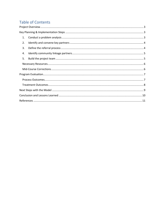## **Table of Contents**

<span id="page-1-0"></span>

| 1. |
|----|
| 2. |
| 3. |
| 4. |
| 5. |
|    |
|    |
|    |
|    |
|    |
|    |
|    |
|    |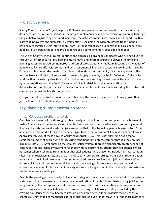## Project Overview

Shelby County's Jericho Project began in 1998 as a non-specialty court approach to jail diversion for detainees with serious mental illness. The project implements best practice transition planning to bridge the gap between justice systems and long-term, mainstream community services and supports. With a history of innovative and successful diversion efforts, including the Memphis Police Department's nationally recognized Crisis Intervention Team (CIT) that established our community as a leader in prebooking jail diversion, the Jericho Project developed a complementary post-booking model.

The Shelby County Jericho Project identifies and engages jail diversion candidates who are not diverted through CIT or other earlier pre-booking mechanisms and offers resources to provide the time and planning necessary to address numerous and complicated treatment needs. By focusing on the needs of people in jail who suffer with serious and persistent mental illness and substance use disorders, Shelby County is able to meet the needs of people at both ends of the community treatment spectrum. The Jericho Project utilizes a unique diversion process, largely driven by the Public Defender's Office, which works within the existing structure of the criminal court system. Key diversion activities are conducted by representatives from the Public Defender's Office, Pretrial Services Administration, Jail Administration, and the jail medical provider. Primary mental health care is delivered by the contracted community behavioral health care provider.

This guide is intended to document the steps taken by the county as a means of showing how other jurisdictions could replicate and improve upon the model.

## <span id="page-2-0"></span>Key Planning & Implementation Steps

#### 1. Conduct a problem analysis

<span id="page-2-1"></span>Our planning started with a thorough problem analysis. Using information compiled by the Bureau of Justice Statistics and the National GAINS Center that measured the prevalence of co-occurring mental illness and substance use disorders in jails, we found that of the 14 million people booked into U.S. jails annually, an estimated 1.1 million experience symptoms of serious mental illness at the time of arrest. Approximately 75% of these have co-occurring disorders  $I_{II,III,IV}$ . This is not surprising given that a significant number of people with co-occurring conditions first enter treatment through the criminal justice system v,vi,vII. After entering the criminal justice system, there is a significantly greater chance of continued criminal justice involvement for those with co-occurring disorders. They experience similar outcomes when discharged from inpatient hospitalizations; these outcomes include high incarceration rates, higher recidivism rates, and use of highly supervised service settings vIII. As deinstitutionalization has strained the limited resources of community-based service providers, our jails and prisons often house individuals with serious mental illness and co-occurring substance use disorders. Individuals whose needs span multiple treatment delivery systems typically end up in the criminal justice system as the de facto service setting ix.

Despite the growing popularity of jail diversion strategies in recent years, many fall short of the systemwide reform that is necessary to reverse the criminalization of mental illness. Post-booking jail diversion programming offers an appropriate alternative to prosecution and incarceration with no greater risk of further arrests and criminal behavior  $x_{x}x_{y}$ . However, existing post-booking strategies, including the growing popularity of mental health courts, are often implemented for individuals facing less serious charges xII. Unintended consequences of these strategies include longer stays in jail and more restrictive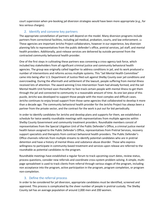court supervision when pre-booking jail diversion strategies would have been more appropriate (e.g., for less serious charges).

#### 2. Identify and convene key partners

<span id="page-3-0"></span>The appropriate constellation of partners will depend on the model. Many diversion programs include partners from correctional facilities, including jail medical, probation, courts, and law enforcement. XIII These agencies are important Jericho Project collaborators, however in our experience, key diversion planning falls to representatives from the public defender's office, pretrial services, jail staff, and mental health providers. Additionally, post-release services are delivered by outside personnel from the contracted community behavioral health provider.

One of the first steps in cultivating these partners was convening a cross-agency task force, which included key stakeholders from all significant criminal justice and community behavioral health agencies. The group was originally called together to address conditions in jail, and its work produced a number of interventions and reforms across multiple systems. This "Jail Mental Health Committee" came into being after U.S. Department of Justice filed suit against Shelby County over jail conditions and overcrowding. During the aftermath and settlement of the lawsuit, people suffering from mental illness received lots of attention. The award-winning Crisis Intervention Team had already formed, and the Jail Mental Health Unit formed soon thereafter to fast-track certain people with mental illness to get them through the jail and connected to community in a reasonable amount of time. As one last piece of this puzzle, Jericho was developed to support those people with the most complex and difficult cases. Jericho continues to enjoy broad support from those same agencies that collaborated to develop it more than a decade ago. The community behavioral health provider for the Jericho Project has always been a partner from the private sector, and the contract for the work is put out for bid periodically.

In order to identify candidates for Jericho and develop plans and supports for them, we established a schedule for twice weekly roundtable meetings with representatives from multiple agencies within Shelby County Government and community treatment providers. Roundtable members consist of representatives from the Special Litigation Unit of the Public Defender's Office, a criminal justice mental health liaison assigned to the Public Defender's Office, representatives from Pretrial Services, recovery support specialists and therapists from contract behavioral health providers. The Public Defender's Office channels referrals from multiple streams to identify potential candidates who are in pretrial detention and have a history of mental illness and substance abuse disorder. Those who express willingness to participate in community-based treatment and services upon release are referred to the roundtable as potential candidates to the program.

Roundtable meetings have established a regular forum to track upcoming court dates, review status, process questions, consider new referrals and coordinate cross-system problem solving. A simple, multipage spreadsheet is used to track clients from referral through various stages of the program, including non acceptance into the program, active participation in the program, program completion, or program non-completion.

#### 3. Define the referral process

<span id="page-3-1"></span>In order to be considered for jail diversion, appropriate candidates must be identified, screened and approved. This process is complicated by the sheer number of people in pretrial custody. The Shelby County Jail has an average population of around 2,000 men and 200 women.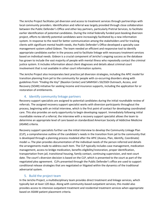The Jericho Project facilitates jail diversion and access to treatment services through partnerships with local community providers. Identification and referral was largely provided through close collaboration between the Public Defender's Office and other key partners, particularly Pretrial Services, to facilitate earlier identification of potential candidates. During the initial federally funded post-booking diversion project, efforts to identify potential candidates were increasingly facilitated by a new information system. In response to the need for better communication among the stakeholders and for tracking clients with significant mental health needs, the Public Defender's Office developed a specialty case management system called Gideon. The team needed an efficient and responsive tool to identify appropriate candidates earlier in the process and to facilitate linkage with necessary treatment services based on individual needs. Gideon is a crucial component of Jericho's ongoing success as the database has grown to include the vast majority of people with mental illness who repeatedly contact the criminal justice system. It includes information about client diagnoses and details about criminal court involvement that is not available in other court information systems.

The Jericho Project also incorporates best practice jail diversion strategies, including the APIC model for transition planning from jail to the community for people with co-occurring disorders along with guidelines from *"Finding the Key*" (Bazelon Center) and SAMHSA's SSI/SSDI Outreach, Access, and Recovery (SOAR) initiative for seeking income and insurance supports, including the application for or restoration of entitlements.

#### 4. Identify community linkage partners

<span id="page-4-0"></span>Recovery support specialists are assigned to potential candidates during the initial roundtable review of referrals. The assigned recovery support specialist works with diversion participants throughout the process, beginning with an initial interview, which is the first point of contact for developing coordinated care. This also provides an early opportunity to begin developing rapport. Immediately following initial roundtable review of a referral, the interview with a recovery support specialist allows the team to determine an appropriate level of care based on standardized American Society of Addictive Medicine (ASAM) criteria.

Recovery support specialists further use the initial interview to develop the Community Linkage Plan (CLP), a comprehensive outline of the candidate's needs in the transition from jail to the community that is developed through a planning process modeled after the APIC (Assess, Plan, Identify, Coordinate) model xiv. The plan provides documentation of the individual needs of the person referred and details the arrangements made to address each item. The CLP typically includes case management, medication management, access to bridge medication, benefits eligibility/restoration, proper identification, transportation from jail, transitional housing, family contact, continuing supervision, and next court date. The court's diversion decision is based on the CLP, which is presented to the court as part of the negotiated plea agreement. CLPs presented through the Public Defender's office are used to support conditional release strategies that are negotiated or litigated within the dynamics of the traditional adversarial system.

#### 5. Build the project team

<span id="page-4-1"></span>In the Jericho Project, a multidisciplinary team provides direct treatment and linkage services, which typically last at least 120 days. Along with community-based outpatient services, this model also provides access to intensive outpatient treatment and residential treatment services when appropriate based on ASAM patient placement criteria.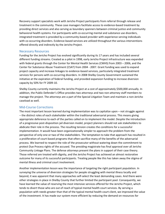Recovery support specialists work with Jericho Project participants from referral through release and treatment in the community. These case managers facilitate access to evidence-based treatment by providing direct services and also serving as boundary spanners between criminal justice and community behavioral health systems. For participants with co-occurring mental and substance use disorders, integrated treatment is provided by a community-based provider with experience serving individuals with co-occurring disorders. Evidence-based services are utilized throughout the various interventions offered directly and indirectly by the Jericho Project.

#### <span id="page-5-0"></span>Necessary Resources

Funding for the Jericho Project has evolved significantly during its 17 years and has included several different funding streams. Created as a pilot in 1998, early Jericho Project infrastructure was expanded with federal grants through the Center for Mental Health Services (CMHS) from 2003 – 2006, and the Center for Substance Abuse Treatment (CSAT) from 2004 - 2007. Grant funding was used to expand project capacity and increase linkages to evidence-based services, particularly integrated treatment services for persons with co-occurring disorders. In 2008 Shelby County Government sustained the initiative at the expiration of federal funding, and provided expansion funding to increase diversion capacity by 50% for FY 2009-10.

Shelby County currently maintains the Jericho Project at a cost of approximately \$500,000 annually. In addition, the Public Defender's Office provides two attorneys and two non-attorney staff members to manage the project. The attorneys are a part of the Special Litigation Team and maintain a non-Jericho caseload as well.

#### <span id="page-5-1"></span>Mid-Course Corrections

The most important lesson learned during implementation was to capitalize upon – not struggle against – the distinct roles of each stakeholder within the traditional adversarial process. This means giving appropriate deference to each of the parties called on to implement the model. Despite the introduction of a progressive post-disposition jail diversion model, project planners should not ask stakeholders to abdicate their role in the process. The resulting tension creates the conditions for a successful implementation. It would have been organizationally simpler to approach the problem from the perspective of only one or two of the stakeholders. The temptation to take that approach has resulted in a proliferation of court-based programs that often sacrifice many of the benefits of the adversarial process. We learned to respect the role of the prosecutor without watering down the commitment to protect Due Process rights of the accused. The presiding magistrate has final approval over all Jericho Community Linkage Plans. The defense attorneys present the plans in support of their case theory. Those referred are treated with dignity, and the Jericho Project has achieved an almost restorative outcome for many of its successful participants. Treating people like this has taken away the stigma of mental illness and criminal court involvement.

Another implementation lesson was the importance of targeting the right participant population. In surveying the universe of diversion strategies for people struggling with mental illness locally and beyond, it was apparent that many approaches self-select the least demanding cases. And there were other strategies in place in Shelby County that further limited the participant pool. Consequently, we have learned the value of reserving the most intensive services offered for the Jericho Project, which tends to divert those who are out of reach of typical mental health court services. By serving a population with needs greater than that of the typical mental health court client, we improved the value of the investment. It has made our system more efficient by reducing the demand on resources for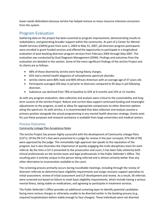lower-needs defendants because Jericho has helped remove so many resource-intensive consumers from the system.

## <span id="page-6-0"></span>Program Evaluation

Gathering data on the project has been essential to program improvement, demonstrating results to stakeholders, and generating broader support within the community. As part of a Center for Mental Health Services (CMHS) grant from June 1, 2003 to May 31, 2007, jail diversion program participants were enrolled in grant-funded services and offered the opportunity to participate in a longitudinal evaluation of post-booking diversion program services from February 2004 through May 2007. The evaluation was conducted by Dual Diagnosis Management (DDM). Findings and outcomes from the evaluation are detailed in this section. Some of the more significant findings of the Jericho Project and its clients are as follows:

- 68% of those diverted by Jericho were facing felony charges.
- 65% had a mental health diagnosis of schizophrenia spectrum disorder.
- Jericho clients were 80% male and 80% African-American with an average age of 37 years old.
- Participants averaged 203 days in jail prior to diversion compared to 95 days in jail following diversion.
- Substance use declined from 78% at baseline to 32% at 6 months and 25% at 12 months.

As with any program evaluation, data collection and analysis were critical to the sustainability and longterm success of the Jericho Project. Robust and current data support continued funding and meaningful adjustments to the program, as well as allow for appropriate comparisons to other diversion options along the spectrum. As with Jericho, it is recommended that data collection and analysis assume a primary position alongside the actual programming in any mental health diversion strategy. Grants exist for just these purposes and research assistance is available from large universities and medical centers.

#### <span id="page-6-1"></span>Process Outcomes

#### Community Linkage Plan Acceptance Rates

The Jericho Project has proven highly successful with the development of Community Linkage Plans (CLP's). Of the 99 CLP's that were presented to a judge for review in the year surveyed, 97% (96 of 99) were approved by the judge. This remarkably high approval rate speaks to the reputation of the program, but it also illustrates the importance of quickly engaging the multi-disciplinary team for each referral. By the time a CLP is presented to the prosecution and court, it has been fully vetted by both clinical professionals on the Jericho team and legal professionals in the Public Defender's Office. The resulting plan is entirely unique to the person being referred and is almost certainly better than any other alternative to incarceration available to the court.

The screening process primarily occurs during roundtable meetings, including through the review of diversion referrals to determine basic eligibility requirements and assign recovery support specialists to initial assessment, review of initial assessment and CLP development and review. As a result, 36 referrals were screened out based on failure to meet basic eligibility requirements, which include having a serious mental illness, being stable on medications, and agreeing to participate in treatment services.

The Public Defender's Office provides an additional screening layer to identify potential candidates facing more serious charges or otherwise unable to be diverted earlier in the booking process (e.g., required hospitalization before stable enough to face charges). These individuals were not diverted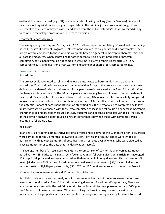earlier at the time of arrest (e.g., CIT) or immediately following booking (Pretrial Services). As a result, this post-booking jail diversion program began later in the criminal justice process. Although these represent relatively complicated cases, candidates from the Public Defender's Office averaged 41 days to complete the linkage process from referral to diversion.

#### Treatment Services Delivery

The average length of stay was 59 days with 67% of all participants completing 6-8 weeks of communitybased Intensive Outpatient Program (IOP) treatment services. Participants who did not complete the program were compared to those who did complete based on general demographic characteristics and all baseline measures. When controlling for other potentially significant predictors of program completion, participants who did not complete were more likely to report illegal drug use (85% compared to 62%) and diversion arrest was for a misdemeanor charge (28% compared to 4%).

#### <span id="page-7-0"></span>Treatment Outcomes

#### Procedures

The project evaluation used baseline and follow-up interviews to better understand treatment procedures. The baseline interview was completed within 7 days of the program start date, which was defined as the date of release or diversion. Participants were interviewed again 6 and 12 months after the baseline interview date. Of the 80 participants who were eligible for follow-up prior to the date of this report, 72 completed at least one follow-up interview (90% follow-up rate). Successfully completed follow-up interviews included 63 6-month interviews and 53 12-month interviews. In order to determine the potential impact of participant attrition on study findings, those who failed to complete any followup interviews were compared with those who completed at least one follow-up on general demographic characteristics, and baseline measures of study outcomes and potential predictor variables. The results of the attrition analysis did not reveal significant differences between those with complete versus incomplete follow-up data.

#### Recidivism

In an analysis of county administrative jail data, arrests and jail days for the 12 months prior to diversion were compared to the 12 months following diversion. For this analysis, outcomes were limited to participants with at least 12 months of post diversion arrest data available (e.g., who were diverted at least 12 months prior to the date that the data was extracted).

The average number of arrests declined 37% in the comparison of 12 months prior versus 12 months post diversion. Similarly, participants spent fewer days in jail following diversion. **Participants averaged 203 days in jail prior to diversion compared to 95 days in jail following diversion**. This represents 108 fewer jail days or a 53% decline. Based on a conservative estimated cost of \$91/day in jail, diversion reduced costs by \$9,816 per person or by \$981,575 per 100 detainees enrolled in the Jericho Project.

#### Criminal Justice Involvement 6- and 12-months Post Diversion

Recidivism indicators were also analyzed with data collected as part of the interviewer-administered assessment conducted at 6 and 12 months following diversion. Based on self-report data, 40% were arrested or incarcerated in the last 30 days prior to the 6-month follow-up assessment and 57% prior to the 12-month follow-up assessment. When controlling for baseline drug use and diversion for misdemeanor charge, participants who completed the program were significantly less likely to report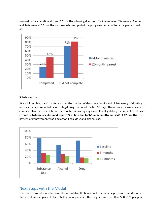rearrest or incarceration at 6 and 12 months following diversion. Recidivism was 67% lower at 6 months and 44% lower at 12 months for those who completed the program compared to participants who did not.



#### Substance Use

At each interview, participants reported the number of days they drank alcohol, frequency of drinking to intoxication, and reported days of illegal drug use out of the last 30 days. These three measures were combined to create a substance use variable indicating any alcohol or illegal drug use in the last 30 days. Overall, **substance use declined from 78% at baseline to 32% at 6 months and 25% at 12 months**. This pattern of improvement was similar for illegal drug and alcohol use.



## <span id="page-8-0"></span>Next Steps with the Model

The Jericho Project model is incredibly affordable. It utilizes public defenders, prosecutors and courts that are already in place. In fact, Shelby County sustains the program with less than \$500,000 per year,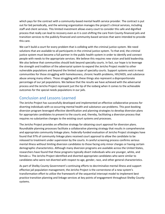which pays for the contract with a community-based mental health service provider. The contract is put out for bid periodically, and the winning organization manages the project's clinical services, including staff and client services. This limited investment allows every court to consider this safe and dignified process that really can lead to recovery even as it is cost-shifting the care from County-financed jails and transition services to the publicly-financed and community-based services that were intended to provide this care.

We can't build a court for every problem that is colliding with the criminal justice system. We need solutions that are available to all participants in the criminal justice system. To that end, the criminal justice system must become a full partner in the public health system in order to identify and connect people with needs to the appropriate services. We believe this requires new vision and bold leadership. We also believe that communities should look beyond specialty courts. In fact, our hope is to leverage the strength and tradition of the adversarial system to expand the Jericho Project model to other vulnerable populations and beyond the limited scope of specialty courts. Support systems exist in most communities for those struggling with homelessness, chronic health problems, HIV/AIDS, and substance abuse among many others. Those struggling with these things also represent a disproportionate percentage of our jail populations. We believe that the results we have achieved with the adversarial process and the Jericho Project represent just the tip of the iceberg when it comes to the achievable outcomes for the special needs populations in our jails.

## <span id="page-9-0"></span>Conclusion and Lessons Learned

The Jericho Project has successfully developed and implemented an effective collaborative process for diverting individuals with co-occurring mental health and substance use problems. This post-booking diversion program leveraged effective identification and planning strategies to develop diversion plans for appropriate candidates to present to the courts and, thereby, facilitating a diversion process that requires no substantive changes to the existing court systems and processes.

The Jericho Project provides an effective strategy for obtaining court approval for diversion plans. Roundtable planning processes facilitate a collaborative planning strategy that results in comprehensive and appropriate community linkage plans. Federally-funded evaluation of Jericho Project strategies have found that 97% of community linkage plans received court approval to allow the candidate to be released to treatment under supervision by the courts. A careful screening process confirms serious mental illness without limiting diversion candidates to those facing only minor charges or having certain demographic characteristics. Although many diversion programs are available across the United States, researchers have found that these programs typically divert individuals who are younger, white, and female xv<sub>I</sub>. The Jericho Project identified and diverted appropriate candidates who were similar to candidates who were not diverted with respect to age, gender, race, and other general characteristics.

As part of Shelby County Government's continuing efforts to decriminalize mental illness and support effective jail population management, the Jericho Project is the cornerstone of a new system's transformation effort to utilize the framework of the sequential intercept model to implement best practice transition planning and linkage services at key points of engagement throughout Shelby County systems.